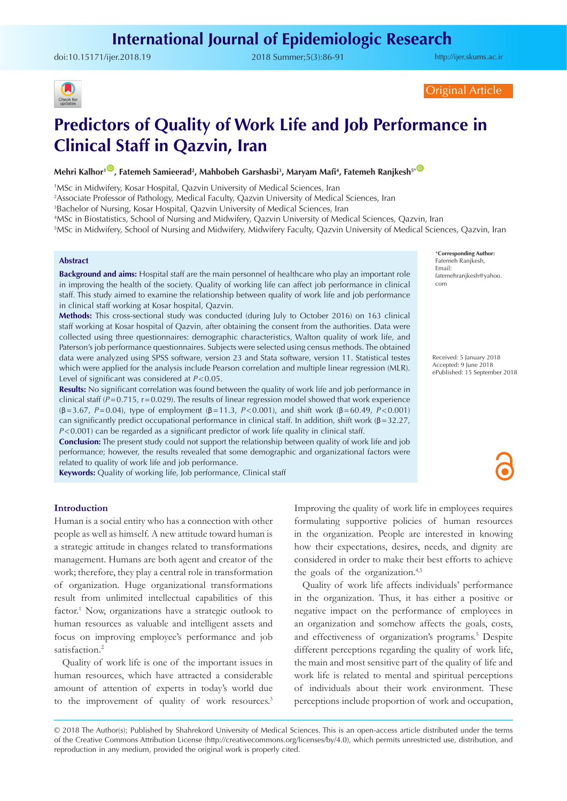doi:[10.15171/ijer.2018.19](https://doi.org/10.15171/ijer.2018.19) 2018 Summer;5(3):86-91

<http://ijer.skums.ac.ir>



Original Article

# **Predictors of Quality of Work Life and Job Performance in Clinical Staff in Qazvin, Iran**

## $\blacksquare$ , Fatemeh Samieerad<sup>2</sup>, Mahbobeh Garshasbi<sup>3</sup>, Maryam Mafi<sup>4</sup>, Fatemeh Ranjkesh<sup>s\*@</sup>

1 MSc in Midwifery, Kosar Hospital, Qazvin University of Medical Sciences, Iran

2 Associate Professor of Pathology, Medical Faculty, Qazvin University of Medical Sciences, Iran

3 Bachelor of Nursing, Kosar Hospital, Qazvin University of Medical Sciences, Iran

4 MSc in Biostatistics, School of Nursing and Midwifery, Qazvin University of Medical Sciences, Qazvin, Iran

5 MSc in Midwifery, School of Nursing and Midwifery, Midwifery Faculty, Qazvin University of Medical Sciences, Qazvin, Iran

#### **Abstract**

**Background and aims:** Hospital staff are the main personnel of healthcare who play an important role in improving the health of the society. Quality of working life can affect job performance in clinical staff. This study aimed to examine the relationship between quality of work life and job performance in clinical staff working at Kosar hospital, Qazvin.

**Methods:** This cross-sectional study was conducted (during July to October 2016) on 163 clinical staff working at Kosar hospital of Qazvin, after obtaining the consent from the authorities. Data were collected using three questionnaires: demographic characteristics, Walton quality of work life, and Paterson's job performance questionnaires. Subjects were selected using census methods. The obtained data were analyzed using SPSS software, version 23 and Stata software, version 11. Statistical testes which were applied for the analysis include Pearson correlation and multiple linear regression (MLR). Level of significant was considered at *P*<0.05.

**Results:** No significant correlation was found between the quality of work life and job performance in clinical staff (*P*=0.715, r=0.029). The results of linear regression model showed that work experience (β=3.67, *P*=0.04), type of employment (β=11.3, *P*<0.001), and shift work (β=60.49, *P*<0.001) can significantly predict occupational performance in clinical staff. In addition, shift work ( $\beta$ =32.27, *P*<0.001) can be regarded as a significant predictor of work life quality in clinical staff.

**Conclusion:** The present study could not support the relationship between quality of work life and job performance; however, the results revealed that some demographic and organizational factors were related to quality of work life and job performance.

**Keywords:** Quality of working life, Job performance, Clinical staff

\***Corresponding Author:** Fatemeh Ranjkesh, Email: fatemehranjkesh@yahoo. com

Received: 5 January 2018 Accepted: 9 June 2018 ePublished: 15 September 2018

## **Introduction**

Human is a social entity who has a connection with other people as well as himself. A new attitude toward human is a strategic attitude in changes related to transformations management. Humans are both agent and creator of the work; therefore, they play a central role in transformation of organization. Huge organizational transformations result from unlimited intellectual capabilities of this factor.<sup>1</sup> Now, organizations have a strategic outlook to human resources as valuable and intelligent assets and focus on improving employee's performance and job satisfaction.<sup>2</sup>

Quality of work life is one of the important issues in human resources, which have attracted a considerable amount of attention of experts in today's world due to the improvement of quality of work resources.3 Improving the quality of work life in employees requires formulating supportive policies of human resources in the organization. People are interested in knowing how their expectations, desires, needs, and dignity are considered in order to make their best efforts to achieve the goals of the organization.<sup>4,5</sup>

Quality of work life affects individuals' performance in the organization. Thus, it has either a positive or negative impact on the performance of employees in an organization and somehow affects the goals, costs, and effectiveness of organization's programs.<sup>5</sup> Despite different perceptions regarding the quality of work life, the main and most sensitive part of the quality of life and work life is related to mental and spiritual perceptions of individuals about their work environment. These perceptions include proportion of work and occupation,

© 2018 The Author(s); Published by Shahrekord University of Medical Sciences. This is an open-access article distributed under the terms of the Creative Commons Attribution License (http://creativecommons.org/licenses/by/4.0), which permits unrestricted use, distribution, and reproduction in any medium, provided the original work is properly cited.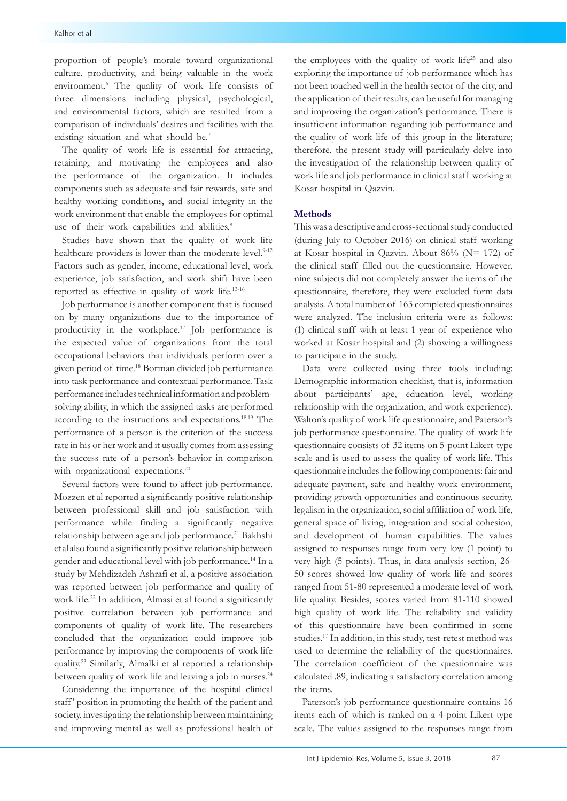proportion of people's morale toward organizational culture, productivity, and being valuable in the work environment.6 The quality of work life consists of three dimensions including physical, psychological, and environmental factors, which are resulted from a comparison of individuals' desires and facilities with the existing situation and what should be.<sup>7</sup>

The quality of work life is essential for attracting, retaining, and motivating the employees and also the performance of the organization. It includes components such as adequate and fair rewards, safe and healthy working conditions, and social integrity in the work environment that enable the employees for optimal use of their work capabilities and abilities.<sup>8</sup>

Studies have shown that the quality of work life healthcare providers is lower than the moderate level.<sup>9-12</sup> Factors such as gender, income, educational level, work experience, job satisfaction, and work shift have been reported as effective in quality of work life.13-16

Job performance is another component that is focused on by many organizations due to the importance of productivity in the workplace.17 Job performance is the expected value of organizations from the total occupational behaviors that individuals perform over a given period of time.18 Borman divided job performance into task performance and contextual performance. Task performance includes technical information and problemsolving ability, in which the assigned tasks are performed according to the instructions and expectations.18,19 The performance of a person is the criterion of the success rate in his or her work and it usually comes from assessing the success rate of a person's behavior in comparison with organizational expectations.<sup>20</sup>

Several factors were found to affect job performance. Mozzen et al reported a significantly positive relationship between professional skill and job satisfaction with performance while finding a significantly negative relationship between age and job performance.<sup>21</sup> Bakhshi et al also found a significantly positive relationship between gender and educational level with job performance.14 In a study by Mehdizadeh Ashrafi et al, a positive association was reported between job performance and quality of work life.<sup>22</sup> In addition, Almasi et al found a significantly positive correlation between job performance and components of quality of work life. The researchers concluded that the organization could improve job performance by improving the components of work life quality.23 Similarly, Almalki et al reported a relationship between quality of work life and leaving a job in nurses.<sup>24</sup>

Considering the importance of the hospital clinical staff' position in promoting the health of the patient and society, investigating the relationship between maintaining and improving mental as well as professional health of the employees with the quality of work life<sup>25</sup> and also exploring the importance of job performance which has not been touched well in the health sector of the city, and the application of their results, can be useful for managing and improving the organization's performance. There is insufficient information regarding job performance and the quality of work life of this group in the literature; therefore, the present study will particularly delve into the investigation of the relationship between quality of work life and job performance in clinical staff working at Kosar hospital in Qazvin.

## **Methods**

This was a descriptive and cross-sectional study conducted (during July to October 2016) on clinical staff working at Kosar hospital in Qazvin. About 86% (N= 172) of the clinical staff filled out the questionnaire. However, nine subjects did not completely answer the items of the questionnaire, therefore, they were excluded form data analysis. A total number of 163 completed questionnaires were analyzed. The inclusion criteria were as follows: (1) clinical staff with at least 1 year of experience who worked at Kosar hospital and (2) showing a willingness to participate in the study.

Data were collected using three tools including: Demographic information checklist, that is, information about participants' age, education level, working relationship with the organization, and work experience), Walton's quality of work life questionnaire, and Paterson's job performance questionnaire. The quality of work life questionnaire consists of 32 items on 5-point Likert-type scale and is used to assess the quality of work life. This questionnaire includes the following components: fair and adequate payment, safe and healthy work environment, providing growth opportunities and continuous security, legalism in the organization, social affiliation of work life, general space of living, integration and social cohesion, and development of human capabilities. The values assigned to responses range from very low (1 point) to very high (5 points). Thus, in data analysis section, 26- 50 scores showed low quality of work life and scores ranged from 51-80 represented a moderate level of work life quality. Besides, scores varied from 81-110 showed high quality of work life. The reliability and validity of this questionnaire have been confirmed in some studies.17 In addition, in this study, test-retest method was used to determine the reliability of the questionnaires. The correlation coefficient of the questionnaire was calculated .89, indicating a satisfactory correlation among the items.

Paterson's job performance questionnaire contains 16 items each of which is ranked on a 4-point Likert-type scale. The values assigned to the responses range from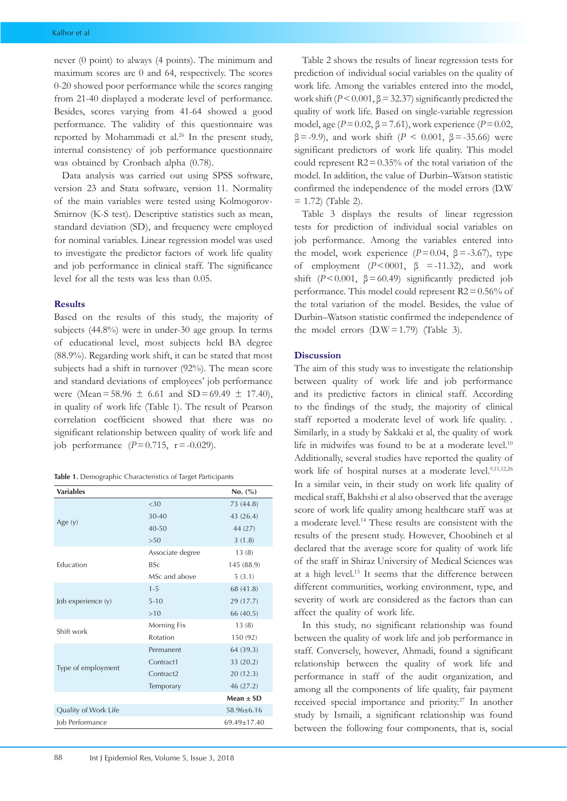never (0 point) to always (4 points). The minimum and maximum scores are 0 and 64, respectively. The scores 0-20 showed poor performance while the scores ranging from 21-40 displayed a moderate level of performance. Besides, scores varying from 41-64 showed a good performance. The validity of this questionnaire was reported by Mohammadi et al.<sup>26</sup> In the present study, internal consistency of job performance questionnaire was obtained by Cronbach alpha (0.78).

Data analysis was carried out using SPSS software, version 23 and Stata software, version 11. Normality of the main variables were tested using Kolmogorov-Smirnov (K-S test). Descriptive statistics such as mean, standard deviation (SD), and frequency were employed for nominal variables. Linear regression model was used to investigate the predictor factors of work life quality and job performance in clinical staff. The significance level for all the tests was less than 0.05.

## **Results**

Based on the results of this study, the majority of subjects (44.8%) were in under-30 age group. In terms of educational level, most subjects held BA degree (88.9%). Regarding work shift, it can be stated that most subjects had a shift in turnover (92%). The mean score and standard deviations of employees' job performance were (Mean=58.96  $\pm$  6.61 and SD=69.49  $\pm$  17.40), in quality of work life (Table 1). The result of Pearson correlation coefficient showed that there was no significant relationship between quality of work life and job performance  $(P=0.715, r=-0.029)$ .

|  |  |  |  |  | <b>Table 1.</b> Demographic Characteristics of Target Participants |  |  |  |
|--|--|--|--|--|--------------------------------------------------------------------|--|--|--|
|--|--|--|--|--|--------------------------------------------------------------------|--|--|--|

| <b>Variables</b>     | No. (%)               |               |
|----------------------|-----------------------|---------------|
|                      | <30                   | 73 (44.8)     |
|                      | $30 - 40$             | 43 (26.4)     |
| Age $(y)$            | $40 - 50$             | 44 (27)       |
|                      | >50                   | 3(1.8)        |
|                      | Associate degree      | 13(8)         |
| <b>Education</b>     | <b>BSc</b>            | 145 (88.9)    |
|                      | MSc and above         | 5(3.1)        |
|                      | $1 - 5$               | 68 (41.8)     |
| Job experience (y)   | $5 - 10$              | 29 (17.7)     |
|                      | >10                   | 66 (40.5)     |
| Shift work           | Morning Fix           | 13(8)         |
|                      | Rotation              | 150 (92)      |
|                      | Permanent             | 64 (39.3)     |
|                      | Contract1             | 33 (20.2)     |
| Type of employment   | Contract <sub>2</sub> | 20(12.3)      |
|                      | Temporary             | 46 (27.2)     |
|                      |                       | $Mean \pm SD$ |
| Quality of Work Life | $58.96 \pm 6.16$      |               |
| Job Performance      | $69.49 \pm 17.40$     |               |

Table 2 shows the results of linear regression tests for prediction of individual social variables on the quality of work life. Among the variables entered into the model, work shift ( $P < 0.001$ ,  $\beta = 32.37$ ) significantly predicted the quality of work life. Based on single-variable regression model, age (*P*=0.02, β=7.61), work experience (*P*=0.02,  $β = -9.9$ ), and work shift (*P* < 0.001,  $β = -35.66$ ) were significant predictors of work life quality. This model could represent  $R2 = 0.35%$  of the total variation of the model. In addition, the value of Durbin–Watson statistic confirmed the independence of the model errors (D.W  $= 1.72$ ) (Table 2).

Table 3 displays the results of linear regression tests for prediction of individual social variables on job performance. Among the variables entered into the model, work experience  $(P=0.04, \beta = -3.67)$ , type of employment  $(P < 0001, \beta = -11.32)$ , and work shift  $(P<0.001, \beta=60.49)$  significantly predicted job performance. This model could represent R2=0.56% of the total variation of the model. Besides, the value of Durbin–Watson statistic confirmed the independence of the model errors  $(D.W = 1.79)$  (Table 3).

## **Discussion**

The aim of this study was to investigate the relationship between quality of work life and job performance and its predictive factors in clinical staff. According to the findings of the study, the majority of clinical staff reported a moderate level of work life quality. . Similarly, in a study by Sakkaki et al, the quality of work life in midwifes was found to be at a moderate level.<sup>10</sup> Additionally, several studies have reported the quality of work life of hospital nurses at a moderate level.<sup>9,11,12,26</sup> In a similar vein, in their study on work life quality of medical staff, Bakhshi et al also observed that the average score of work life quality among healthcare staff was at a moderate level.14 These results are consistent with the results of the present study. However, Choobineh et al declared that the average score for quality of work life of the staff in Shiraz University of Medical Sciences was at a high level.13 It seems that the difference between different communities, working environment, type, and severity of work are considered as the factors than can affect the quality of work life.

In this study, no significant relationship was found between the quality of work life and job performance in staff. Conversely, however, Ahmadi, found a significant relationship between the quality of work life and performance in staff of the audit organization, and among all the components of life quality, fair payment received special importance and priority.27 In another study by Ismaili, a significant relationship was found between the following four components, that is, social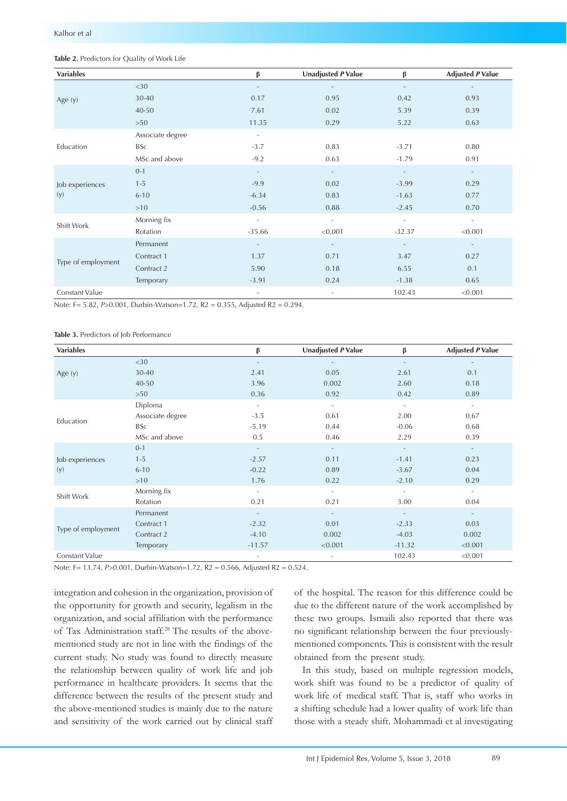| <b>Variables</b>   |                  | β                        | <b>Unadjusted P Value</b> | β                        | <b>Adjusted P Value</b>  |
|--------------------|------------------|--------------------------|---------------------------|--------------------------|--------------------------|
|                    | $<$ 30           | $\overline{\phantom{a}}$ |                           | $\overline{\phantom{a}}$ |                          |
| Age (y)            | 30-40            | 0.17                     | 0.95                      | 0.42                     | 0.93                     |
|                    | $40 - 50$        | 7.61                     | 0.02                      | 5.39                     | 0.39                     |
|                    | $>50$            | 11.35                    | 0.29                      | 5.22                     | 0.63                     |
|                    | Associate degree | $\overline{\phantom{a}}$ |                           |                          |                          |
| Education          | <b>BSc</b>       | $-3.7$                   | 0.83                      | $-3.71$                  | 0.80                     |
|                    | MSc and above    | $-9.2$                   | 0.63                      | $-1.79$                  | 0.91                     |
|                    | $0 - 1$          | $\sim$                   | $\overline{\phantom{a}}$  | $\sim$                   | $\sim$                   |
| Job experiences    | $1 - 5$          | $-9.9$                   | 0.02                      | $-3.99$                  | 0.29                     |
| (y)                | $6 - 10$         | $-6.34$                  | 0.83                      | $-1.63$                  | 0.77                     |
|                    | >10              | $-0.56$                  | 0.88                      | $-2.45$                  | 0.70                     |
| Shift Work         | Morning fix      | $\overline{\phantom{a}}$ | $\sim$                    | $\overline{\phantom{a}}$ | $\overline{\phantom{a}}$ |
|                    | Rotation         | $-35.66$                 | < 0.001                   | $-32.37$                 | < 0.001                  |
|                    | Permanent        | $\sim$                   | $\overline{\phantom{a}}$  | $\overline{\phantom{a}}$ | $\overline{\phantom{a}}$ |
| Type of employment | Contract 1       | 1.37                     | 0.71                      | 3.47                     | 0.27                     |
|                    | Contract 2       | 5.90                     | 0.18                      | 6.55                     | 0.1                      |
|                    | Temporary        | $-3.91$                  | 0.24                      | $-1.38$                  | 0.65                     |
| Constant Value     |                  | $\sim$                   | $\overline{\phantom{a}}$  | 102.43                   | < 0.001                  |

#### **Table 2.** Predictors for Quality of Work Life

Note: F= 5.82, *P*>0.001, Durbin-Watson=1.72, R2 = 0.355, Adjusted R2 = 0.294.

#### **Table 3.** Predictors of Job Performance

| <b>Variables</b>   |                  | β                        | <b>Unadjusted P Value</b> | β                        | <b>Adjusted P Value</b>  |
|--------------------|------------------|--------------------------|---------------------------|--------------------------|--------------------------|
|                    | $<$ 30           | $\overline{\phantom{a}}$ |                           | $\overline{\phantom{a}}$ |                          |
| Age $(y)$          | 30-40            | 2.41                     | 0.05                      | 2.61                     | 0.1                      |
|                    | 40-50            | 3.96                     | 0.002                     | 2.60                     | 0.18                     |
|                    | >50              | 0.36                     | 0.92                      | 0.42                     | 0.89                     |
|                    | Diploma          | $\sim$                   | $\overline{\phantom{a}}$  | $\overline{\phantom{a}}$ | $\overline{\phantom{a}}$ |
| Education          | Associate degree | $-3.5$                   | 0.61                      | 2.00                     | 0.67                     |
|                    | <b>BSc</b>       | $-5.19$                  | 0.44                      | $-0.06$                  | 0.68                     |
|                    | MSc and above    | 0.5                      | 0.46                      | 2.29                     | 0.39                     |
|                    | $0 - 1$          | $\overline{\phantom{a}}$ | $\overline{\phantom{a}}$  | $\overline{\phantom{a}}$ | $\overline{\phantom{a}}$ |
| Job experiences    | $1 - 5$          | $-2.57$                  | 0.11                      | $-1.41$                  | 0.23                     |
| (y)                | $6 - 10$         | $-0.22$                  | 0.89                      | $-3.67$                  | 0.04                     |
|                    | >10              | 1.76                     | 0.22                      | $-2.10$                  | 0.29                     |
|                    | Morning fix      | $\overline{\phantom{a}}$ |                           |                          | $\overline{\phantom{a}}$ |
| Shift Work         | Rotation         | 0.21                     | 0.21                      | 3.00                     | 0.04                     |
|                    | Permanent        | $\overline{\phantom{a}}$ |                           |                          | $\sim$                   |
|                    | Contract 1       | $-2.32$                  | 0.01                      | $-2.33$                  | 0.03                     |
| Type of employment | Contract 2       | $-4.10$                  | 0.002                     | $-4.03$                  | 0.002                    |
|                    | Temporary        | $-11.57$                 | < 0.001                   | $-11.32$                 | < 0.001                  |
| Constant Value     |                  | $\overline{\phantom{a}}$ | $\overline{\phantom{a}}$  | 102.43                   | < 0.001                  |

Note: F= 13.74, *P*>0.001, Durbin-Watson=1.72, R2 = 0.566, Adjusted R2 = 0.524.

integration and cohesion in the organization, provision of the opportunity for growth and security, legalism in the organization, and social affiliation with the performance of Tax Administration staff.28 The results of the abovementioned study are not in line with the findings of the current study. No study was found to directly measure the relationship between quality of work life and job performance in healthcare providers. It seems that the difference between the results of the present study and the above-mentioned studies is mainly due to the nature and sensitivity of the work carried out by clinical staff of the hospital. The reason for this difference could be due to the different nature of the work accomplished by these two groups. Ismaili also reported that there was no significant relationship between the four previouslymentioned components. This is consistent with the result obtained from the present study.

In this study, based on multiple regression models, work shift was found to be a predictor of quality of work life of medical staff. That is, staff who works in a shifting schedule had a lower quality of work life than those with a steady shift. Mohammadi et al investigating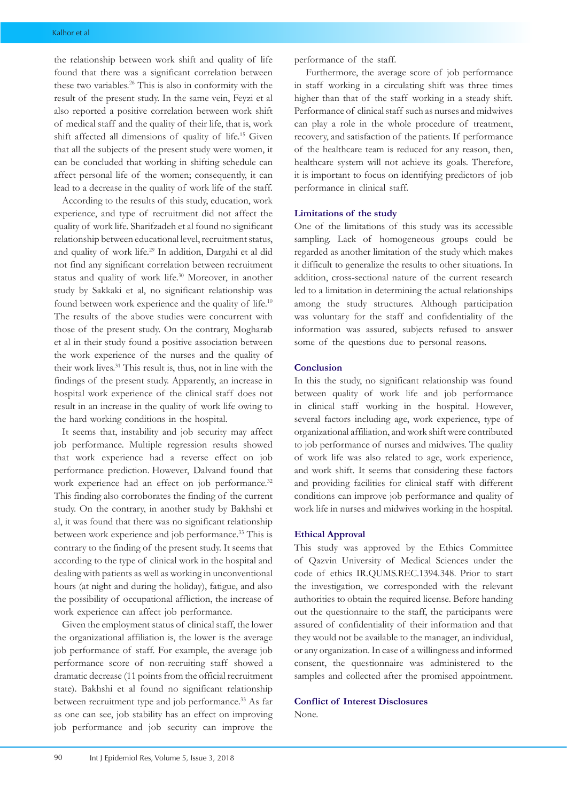the relationship between work shift and quality of life found that there was a significant correlation between these two variables.26 This is also in conformity with the result of the present study. In the same vein, Feyzi et al also reported a positive correlation between work shift of medical staff and the quality of their life, that is, work shift affected all dimensions of quality of life.15 Given that all the subjects of the present study were women, it can be concluded that working in shifting schedule can affect personal life of the women; consequently, it can lead to a decrease in the quality of work life of the staff.

According to the results of this study, education, work experience, and type of recruitment did not affect the quality of work life. Sharifzadeh et al found no significant relationship between educational level, recruitment status, and quality of work life.29 In addition, Dargahi et al did not find any significant correlation between recruitment status and quality of work life.30 Moreover, in another study by Sakkaki et al, no significant relationship was found between work experience and the quality of life.<sup>10</sup> The results of the above studies were concurrent with those of the present study. On the contrary, Mogharab et al in their study found a positive association between the work experience of the nurses and the quality of their work lives.<sup>31</sup> This result is, thus, not in line with the findings of the present study. Apparently, an increase in hospital work experience of the clinical staff does not result in an increase in the quality of work life owing to the hard working conditions in the hospital.

It seems that, instability and job security may affect job performance. Multiple regression results showed that work experience had a reverse effect on job performance prediction. However, Dalvand found that work experience had an effect on job performance.<sup>32</sup> This finding also corroborates the finding of the current study. On the contrary, in another study by Bakhshi et al, it was found that there was no significant relationship between work experience and job performance.<sup>33</sup> This is contrary to the finding of the present study. It seems that according to the type of clinical work in the hospital and dealing with patients as well as working in unconventional hours (at night and during the holiday), fatigue, and also the possibility of occupational affliction, the increase of work experience can affect job performance.

Given the employment status of clinical staff, the lower the organizational affiliation is, the lower is the average job performance of staff. For example, the average job performance score of non-recruiting staff showed a dramatic decrease (11 points from the official recruitment state). Bakhshi et al found no significant relationship between recruitment type and job performance.<sup>33</sup> As far as one can see, job stability has an effect on improving job performance and job security can improve the

performance of the staff.

 Furthermore, the average score of job performance in staff working in a circulating shift was three times higher than that of the staff working in a steady shift. Performance of clinical staff such as nurses and midwives can play a role in the whole procedure of treatment, recovery, and satisfaction of the patients. If performance of the healthcare team is reduced for any reason, then, healthcare system will not achieve its goals. Therefore, it is important to focus on identifying predictors of job performance in clinical staff.

#### **Limitations of the study**

One of the limitations of this study was its accessible sampling. Lack of homogeneous groups could be regarded as another limitation of the study which makes it difficult to generalize the results to other situations. In addition, cross-sectional nature of the current research led to a limitation in determining the actual relationships among the study structures. Although participation was voluntary for the staff and confidentiality of the information was assured, subjects refused to answer some of the questions due to personal reasons.

## **Conclusion**

In this the study, no significant relationship was found between quality of work life and job performance in clinical staff working in the hospital. However, several factors including age, work experience, type of organizational affiliation, and work shift were contributed to job performance of nurses and midwives. The quality of work life was also related to age, work experience, and work shift. It seems that considering these factors and providing facilities for clinical staff with different conditions can improve job performance and quality of work life in nurses and midwives working in the hospital.

## **Ethical Approval**

This study was approved by the Ethics Committee of Qazvin University of Medical Sciences under the code of ethics IR.QUMS.REC.1394.348. Prior to start the investigation, we corresponded with the relevant authorities to obtain the required license. Before handing out the questionnaire to the staff, the participants were assured of confidentiality of their information and that they would not be available to the manager, an individual, or any organization. In case of a willingness and informed consent, the questionnaire was administered to the samples and collected after the promised appointment.

## **Conflict of Interest Disclosures**

None.